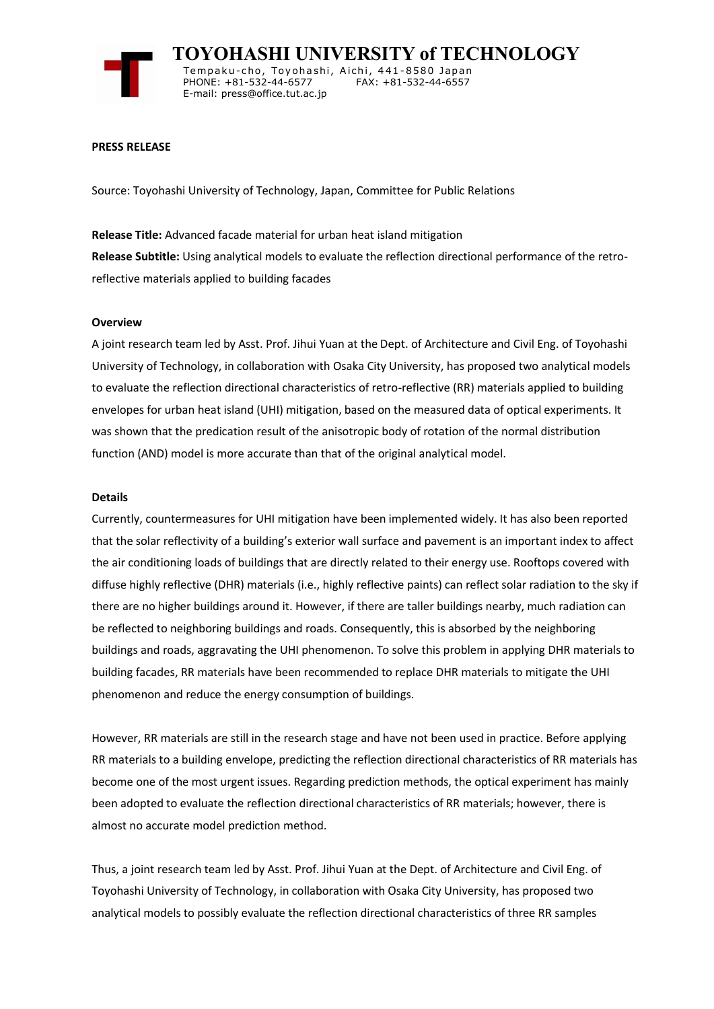

 **TOYOHASHI UNIVERSITY of TECHNOLOGY** Tempaku-cho, Toyohashi, Aichi, 441-8580 Japan<br>PHONE: +81-532-44-6577 FAX: +81-532-44-6557 PHONE: +81-532-44-6577 E-mail: press@office.tut.ac.jp

## **PRESS RELEASE**

Source: Toyohashi University of Technology, Japan, Committee for Public Relations

**Release Title:** Advanced facade material for urban heat island mitigation **Release Subtitle:** Using analytical models to evaluate the reflection directional performance of the retroreflective materials applied to building facades

## **Overview**

A joint research team led by Asst. Prof. Jihui Yuan at the Dept. of Architecture and Civil Eng. of Toyohashi University of Technology, in collaboration with Osaka City University, has proposed two analytical models to evaluate the reflection directional characteristics of retro-reflective (RR) materials applied to building envelopes for urban heat island (UHI) mitigation, based on the measured data of optical experiments. It was shown that the predication result of the anisotropic body of rotation of the normal distribution function (AND) model is more accurate than that of the original analytical model.

## **Details**

Currently, countermeasures for UHI mitigation have been implemented widely. It has also been reported that the solar reflectivity of a building's exterior wall surface and pavement is an important index to affect the air conditioning loads of buildings that are directly related to their energy use. Rooftops covered with diffuse highly reflective (DHR) materials (i.e., highly reflective paints) can reflect solar radiation to the sky if there are no higher buildings around it. However, if there are taller buildings nearby, much radiation can be reflected to neighboring buildings and roads. Consequently, this is absorbed by the neighboring buildings and roads, aggravating the UHI phenomenon. To solve this problem in applying DHR materials to building facades, RR materials have been recommended to replace DHR materials to mitigate the UHI phenomenon and reduce the energy consumption of buildings.

However, RR materials are still in the research stage and have not been used in practice. Before applying RR materials to a building envelope, predicting the reflection directional characteristics of RR materials has become one of the most urgent issues. Regarding prediction methods, the optical experiment has mainly been adopted to evaluate the reflection directional characteristics of RR materials; however, there is almost no accurate model prediction method.

Thus, a joint research team led by Asst. Prof. Jihui Yuan at the Dept. of Architecture and Civil Eng. of Toyohashi University of Technology, in collaboration with Osaka City University, has proposed two analytical models to possibly evaluate the reflection directional characteristics of three RR samples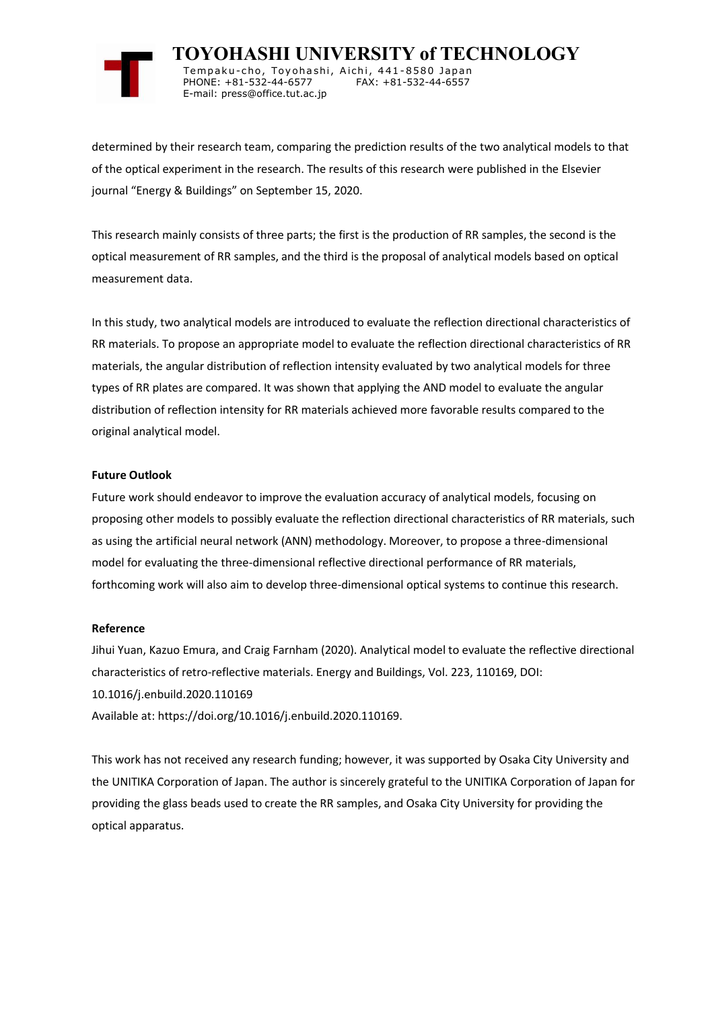

 **TOYOHASHI UNIVERSITY of TECHNOLOGY** Tempaku-cho, Toyohashi, Aichi, 441-8580 Japan<br>PHONE: +81-532-44-6577 FAX: +81-532-44-6557 PHONE: +81-532-44-6577 E-mail: press@office.tut.ac.jp

determined by their research team, comparing the prediction results of the two analytical models to that of the optical experiment in the research. The results of this research were published in the Elsevier journal "Energy & Buildings" on September 15, 2020.

This research mainly consists of three parts; the first is the production of RR samples, the second is the optical measurement of RR samples, and the third is the proposal of analytical models based on optical measurement data.

In this study, two analytical models are introduced to evaluate the reflection directional characteristics of RR materials. To propose an appropriate model to evaluate the reflection directional characteristics of RR materials, the angular distribution of reflection intensity evaluated by two analytical models for three types of RR plates are compared. It was shown that applying the AND model to evaluate the angular distribution of reflection intensity for RR materials achieved more favorable results compared to the original analytical model.

## **Future Outlook**

Future work should endeavor to improve the evaluation accuracy of analytical models, focusing on proposing other models to possibly evaluate the reflection directional characteristics of RR materials, such as using the artificial neural network (ANN) methodology. Moreover, to propose a three-dimensional model for evaluating the three-dimensional reflective directional performance of RR materials, forthcoming work will also aim to develop three-dimensional optical systems to continue this research.

## **Reference**

Jihui Yuan, Kazuo Emura, and Craig Farnham (2020). Analytical model to evaluate the reflective directional characteristics of retro-reflective materials. Energy and Buildings, Vol. 223, 110169, DOI: 10.1016/j.enbuild.2020.110169 Available at: https://doi.org/10.1016/j.enbuild.2020.110169.

This work has not received any research funding; however, it was supported by Osaka City University and the UNITIKA Corporation of Japan. The author is sincerely grateful to the UNITIKA Corporation of Japan for providing the glass beads used to create the RR samples, and Osaka City University for providing the

optical apparatus.